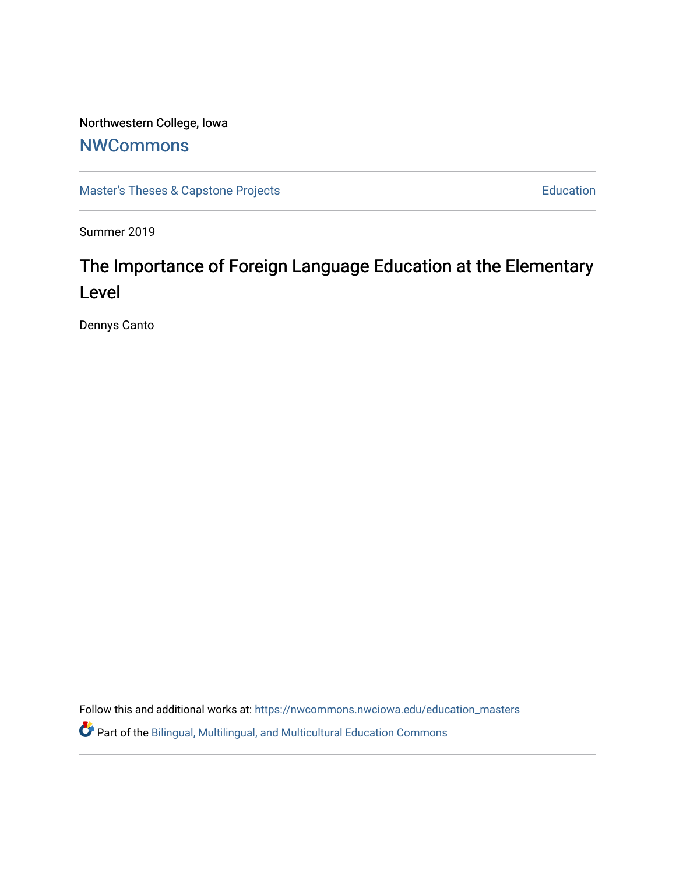## Northwestern College, Iowa

## **[NWCommons](https://nwcommons.nwciowa.edu/)**

[Master's Theses & Capstone Projects](https://nwcommons.nwciowa.edu/education_masters) **Education** Education

Summer 2019

# The Importance of Foreign Language Education at the Elementary Level

Dennys Canto

Follow this and additional works at: [https://nwcommons.nwciowa.edu/education\\_masters](https://nwcommons.nwciowa.edu/education_masters?utm_source=nwcommons.nwciowa.edu%2Feducation_masters%2F164&utm_medium=PDF&utm_campaign=PDFCoverPages)

Part of the [Bilingual, Multilingual, and Multicultural Education Commons](http://network.bepress.com/hgg/discipline/785?utm_source=nwcommons.nwciowa.edu%2Feducation_masters%2F164&utm_medium=PDF&utm_campaign=PDFCoverPages)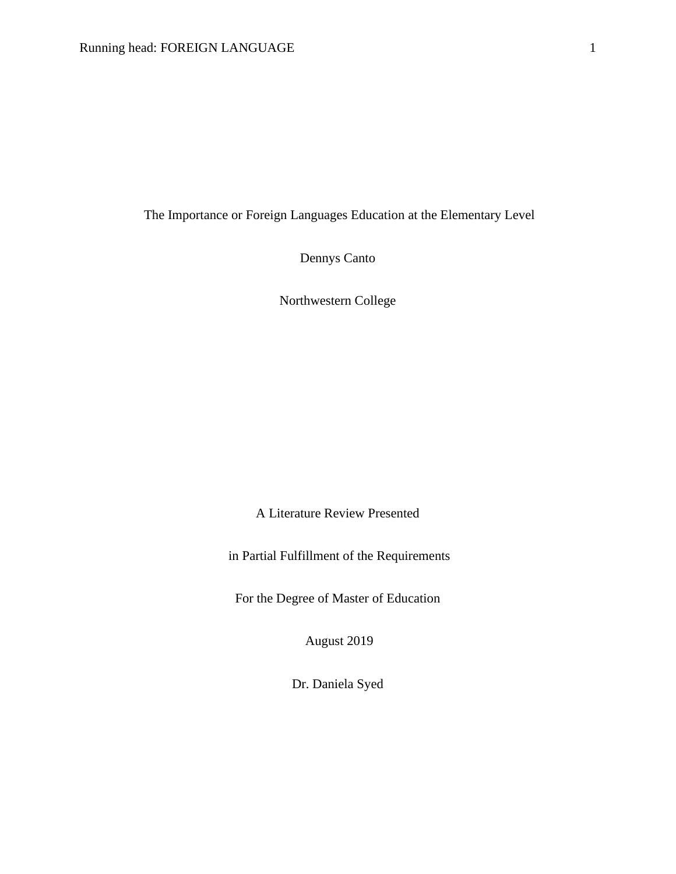The Importance or Foreign Languages Education at the Elementary Level

Dennys Canto

Northwestern College

A Literature Review Presented

in Partial Fulfillment of the Requirements

For the Degree of Master of Education

August 2019

Dr. Daniela Syed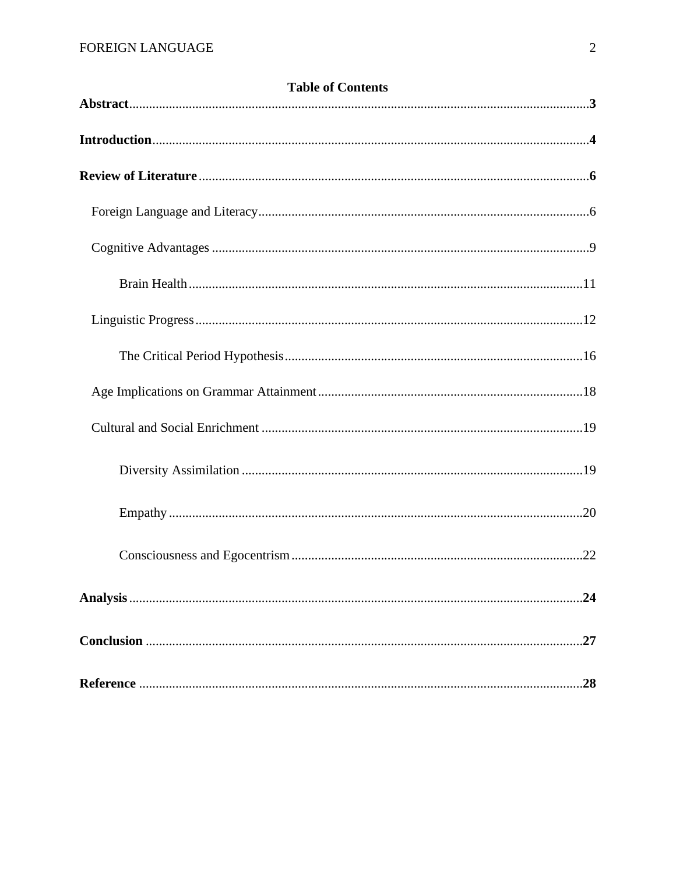| <b>Table of Contents</b> |     |
|--------------------------|-----|
|                          |     |
|                          |     |
|                          |     |
|                          |     |
|                          |     |
|                          |     |
|                          |     |
|                          |     |
|                          |     |
|                          |     |
|                          |     |
|                          |     |
|                          |     |
|                          | .24 |
|                          |     |
|                          | 28  |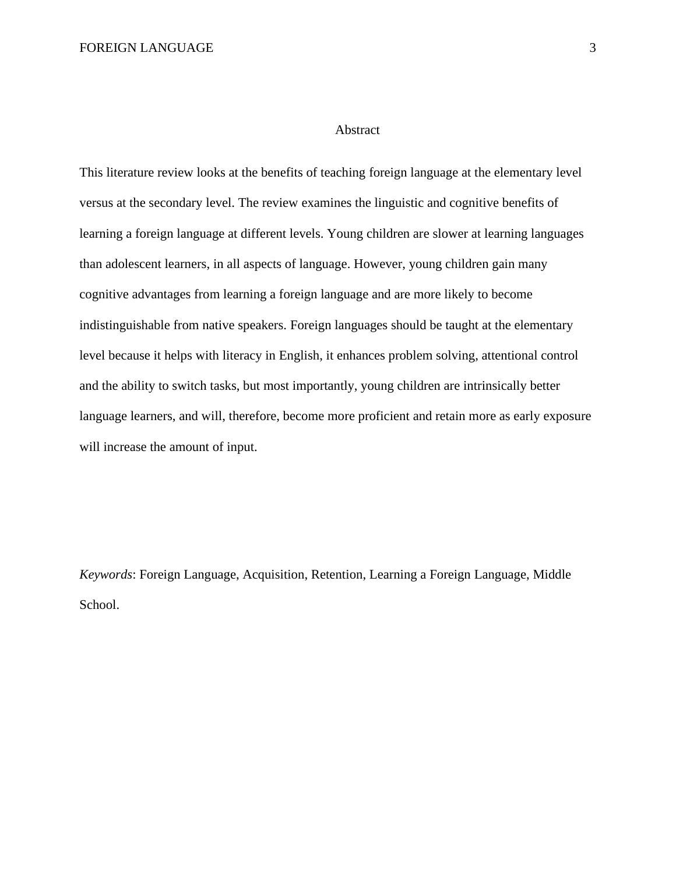#### Abstract

This literature review looks at the benefits of teaching foreign language at the elementary level versus at the secondary level. The review examines the linguistic and cognitive benefits of learning a foreign language at different levels. Young children are slower at learning languages than adolescent learners, in all aspects of language. However, young children gain many cognitive advantages from learning a foreign language and are more likely to become indistinguishable from native speakers. Foreign languages should be taught at the elementary level because it helps with literacy in English, it enhances problem solving, attentional control and the ability to switch tasks, but most importantly, young children are intrinsically better language learners, and will, therefore, become more proficient and retain more as early exposure will increase the amount of input.

*Keywords*: Foreign Language, Acquisition, Retention, Learning a Foreign Language, Middle School.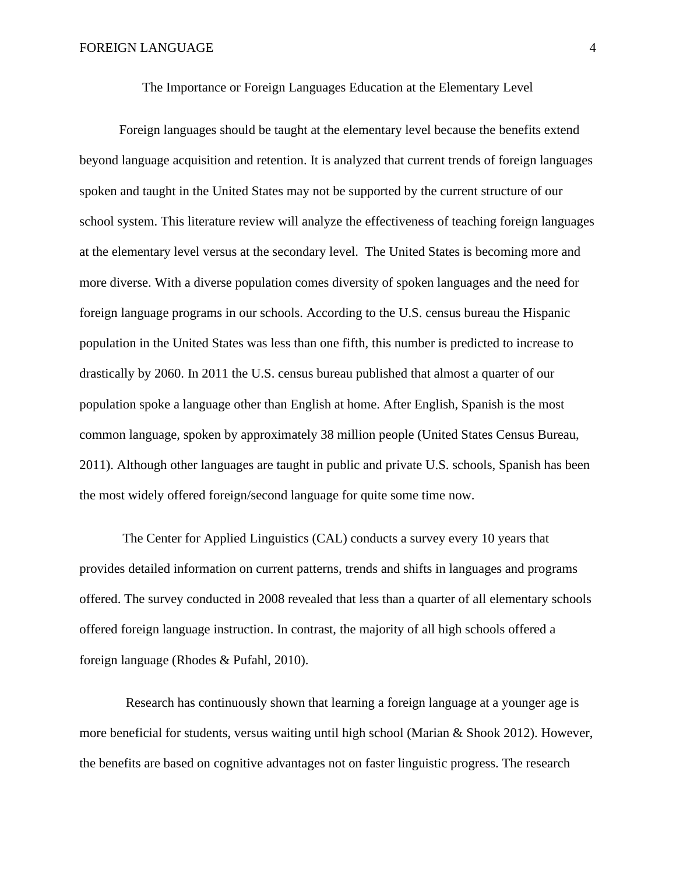Foreign languages should be taught at the elementary level because the benefits extend beyond language acquisition and retention. It is analyzed that current trends of foreign languages spoken and taught in the United States may not be supported by the current structure of our school system. This literature review will analyze the effectiveness of teaching foreign languages at the elementary level versus at the secondary level. The United States is becoming more and more diverse. With a diverse population comes diversity of spoken languages and the need for foreign language programs in our schools. According to the U.S. census bureau the Hispanic population in the United States was less than one fifth, this number is predicted to increase to drastically by 2060. In 2011 the U.S. census bureau published that almost a quarter of our population spoke a language other than English at home. After English, Spanish is the most common language, spoken by approximately 38 million people (United States Census Bureau, 2011). Although other languages are taught in public and private U.S. schools, Spanish has been the most widely offered foreign/second language for quite some time now.

The Center for Applied Linguistics (CAL) conducts a survey every 10 years that provides detailed information on current patterns, trends and shifts in languages and programs offered. The survey conducted in 2008 revealed that less than a quarter of all elementary schools offered foreign language instruction. In contrast, the majority of all high schools offered a foreign language (Rhodes & Pufahl, 2010).

 Research has continuously shown that learning a foreign language at a younger age is more beneficial for students, versus waiting until high school (Marian & Shook 2012). However, the benefits are based on cognitive advantages not on faster linguistic progress. The research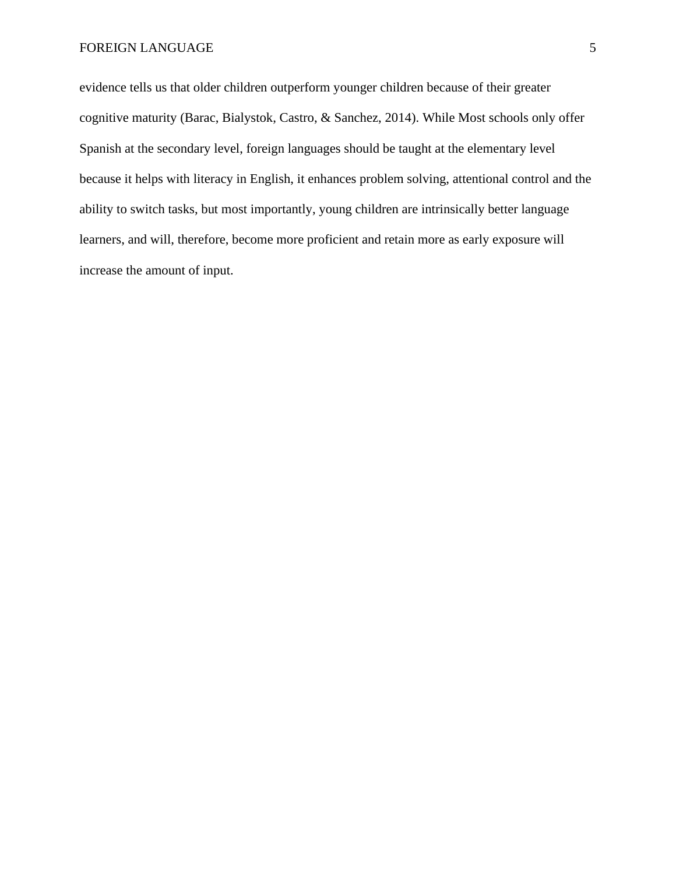evidence tells us that older children outperform younger children because of their greater cognitive maturity (Barac, Bialystok, Castro, & Sanchez, 2014). While Most schools only offer Spanish at the secondary level, foreign languages should be taught at the elementary level because it helps with literacy in English, it enhances problem solving, attentional control and the ability to switch tasks, but most importantly, young children are intrinsically better language learners, and will, therefore, become more proficient and retain more as early exposure will increase the amount of input.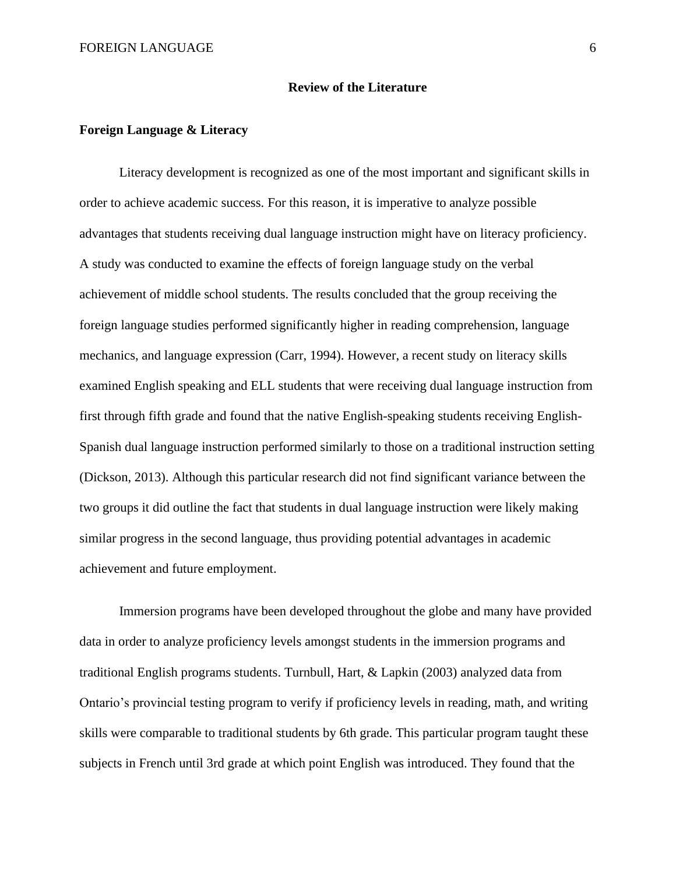#### **Review of the Literature**

### **Foreign Language & Literacy**

Literacy development is recognized as one of the most important and significant skills in order to achieve academic success. For this reason, it is imperative to analyze possible advantages that students receiving dual language instruction might have on literacy proficiency. A study was conducted to examine the effects of foreign language study on the verbal achievement of middle school students. The results concluded that the group receiving the foreign language studies performed significantly higher in reading comprehension, language mechanics, and language expression (Carr, 1994). However, a recent study on literacy skills examined English speaking and ELL students that were receiving dual language instruction from first through fifth grade and found that the native English-speaking students receiving English-Spanish dual language instruction performed similarly to those on a traditional instruction setting (Dickson, 2013). Although this particular research did not find significant variance between the two groups it did outline the fact that students in dual language instruction were likely making similar progress in the second language, thus providing potential advantages in academic achievement and future employment.

Immersion programs have been developed throughout the globe and many have provided data in order to analyze proficiency levels amongst students in the immersion programs and traditional English programs students. Turnbull, Hart, & Lapkin (2003) analyzed data from Ontario's provincial testing program to verify if proficiency levels in reading, math, and writing skills were comparable to traditional students by 6th grade. This particular program taught these subjects in French until 3rd grade at which point English was introduced. They found that the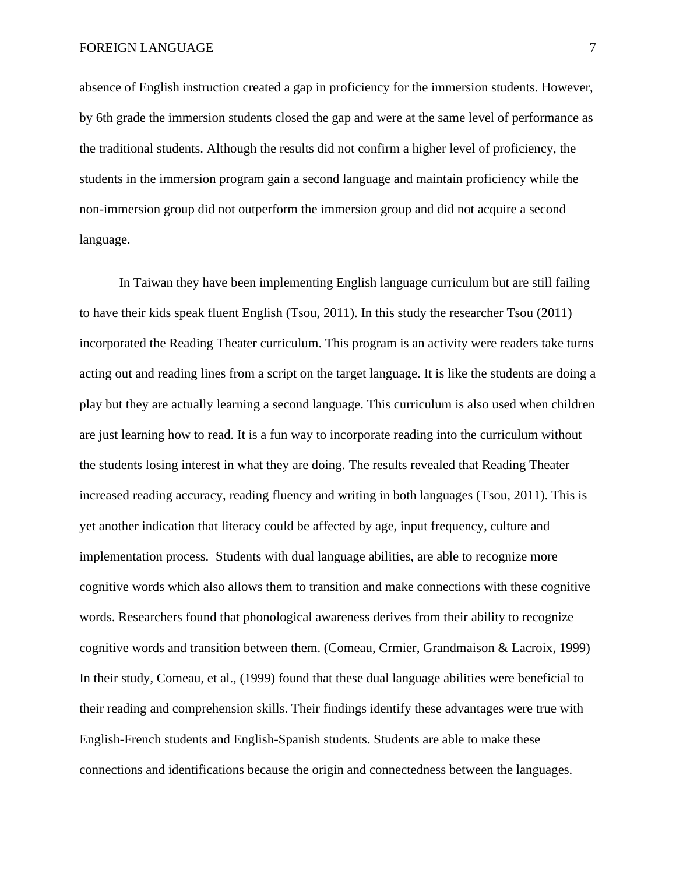absence of English instruction created a gap in proficiency for the immersion students. However, by 6th grade the immersion students closed the gap and were at the same level of performance as the traditional students. Although the results did not confirm a higher level of proficiency, the students in the immersion program gain a second language and maintain proficiency while the non-immersion group did not outperform the immersion group and did not acquire a second language.

In Taiwan they have been implementing English language curriculum but are still failing to have their kids speak fluent English (Tsou, 2011). In this study the researcher Tsou (2011) incorporated the Reading Theater curriculum. This program is an activity were readers take turns acting out and reading lines from a script on the target language. It is like the students are doing a play but they are actually learning a second language. This curriculum is also used when children are just learning how to read. It is a fun way to incorporate reading into the curriculum without the students losing interest in what they are doing. The results revealed that Reading Theater increased reading accuracy, reading fluency and writing in both languages (Tsou, 2011). This is yet another indication that literacy could be affected by age, input frequency, culture and implementation process. Students with dual language abilities, are able to recognize more cognitive words which also allows them to transition and make connections with these cognitive words. Researchers found that phonological awareness derives from their ability to recognize cognitive words and transition between them. (Comeau, Crmier, Grandmaison & Lacroix, 1999) In their study, Comeau, et al., (1999) found that these dual language abilities were beneficial to their reading and comprehension skills. Their findings identify these advantages were true with English-French students and English-Spanish students. Students are able to make these connections and identifications because the origin and connectedness between the languages.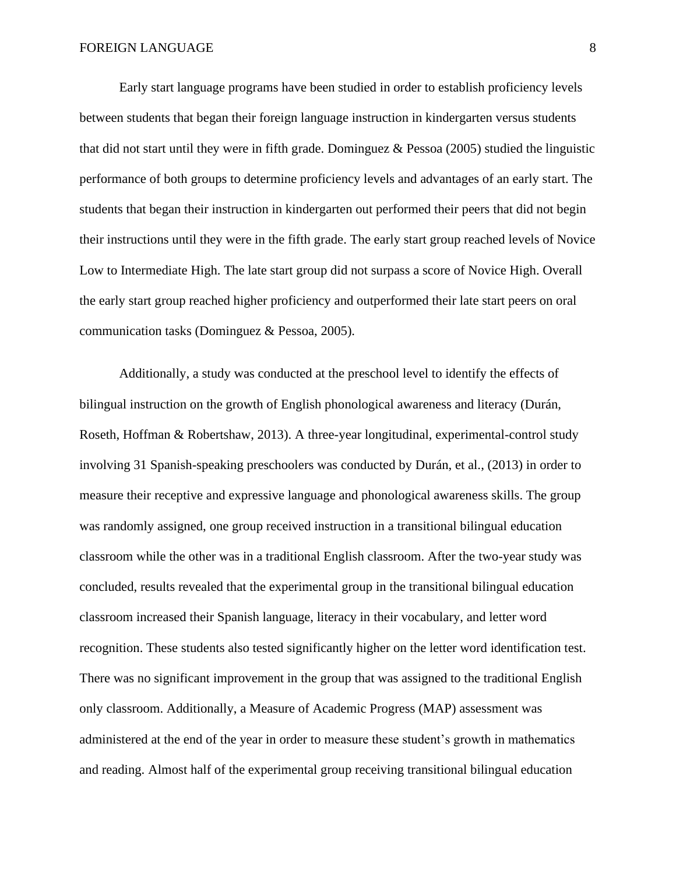Early start language programs have been studied in order to establish proficiency levels between students that began their foreign language instruction in kindergarten versus students that did not start until they were in fifth grade. Dominguez  $\&$  Pessoa (2005) studied the linguistic performance of both groups to determine proficiency levels and advantages of an early start. The students that began their instruction in kindergarten out performed their peers that did not begin their instructions until they were in the fifth grade. The early start group reached levels of Novice Low to Intermediate High. The late start group did not surpass a score of Novice High. Overall the early start group reached higher proficiency and outperformed their late start peers on oral communication tasks (Dominguez & Pessoa, 2005).

Additionally, a study was conducted at the preschool level to identify the effects of bilingual instruction on the growth of English phonological awareness and literacy (Durán, Roseth, Hoffman & Robertshaw, 2013). A three-year longitudinal, experimental-control study involving 31 Spanish-speaking preschoolers was conducted by Durán, et al., (2013) in order to measure their receptive and expressive language and phonological awareness skills. The group was randomly assigned, one group received instruction in a transitional bilingual education classroom while the other was in a traditional English classroom. After the two-year study was concluded, results revealed that the experimental group in the transitional bilingual education classroom increased their Spanish language, literacy in their vocabulary, and letter word recognition. These students also tested significantly higher on the letter word identification test. There was no significant improvement in the group that was assigned to the traditional English only classroom. Additionally, a Measure of Academic Progress (MAP) assessment was administered at the end of the year in order to measure these student's growth in mathematics and reading. Almost half of the experimental group receiving transitional bilingual education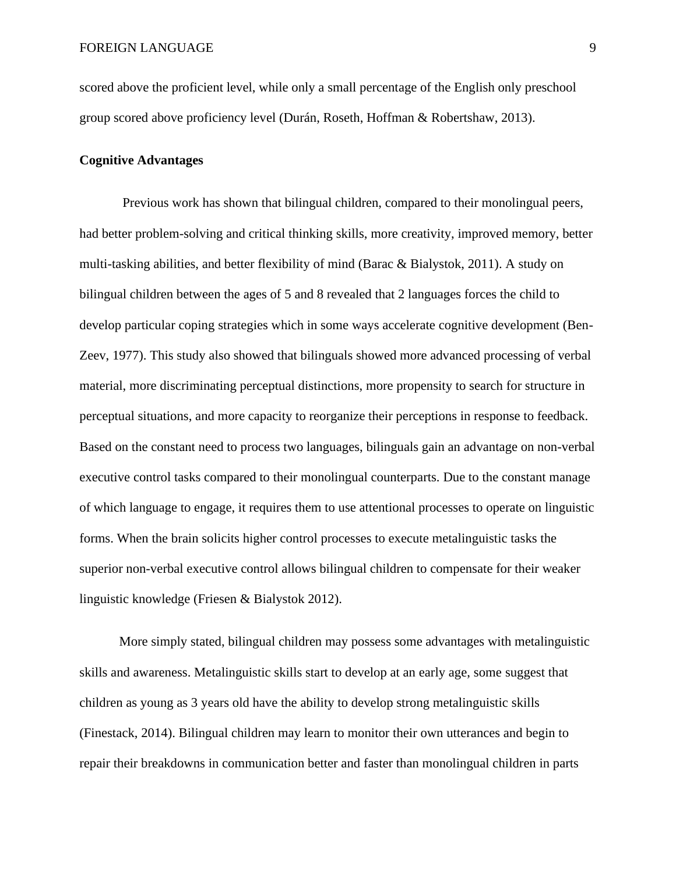scored above the proficient level, while only a small percentage of the English only preschool group scored above proficiency level (Durán, Roseth, Hoffman & Robertshaw, 2013).

#### **Cognitive Advantages**

Previous work has shown that bilingual children, compared to their monolingual peers, had better problem-solving and critical thinking skills, more creativity, improved memory, better multi-tasking abilities, and better flexibility of mind (Barac & Bialystok, 2011). A study on bilingual children between the ages of 5 and 8 revealed that 2 languages forces the child to develop particular coping strategies which in some ways accelerate cognitive development (Ben-Zeev, 1977). This study also showed that bilinguals showed more advanced processing of verbal material, more discriminating perceptual distinctions, more propensity to search for structure in perceptual situations, and more capacity to reorganize their perceptions in response to feedback. Based on the constant need to process two languages, bilinguals gain an advantage on non-verbal executive control tasks compared to their monolingual counterparts. Due to the constant manage of which language to engage, it requires them to use attentional processes to operate on linguistic forms. When the brain solicits higher control processes to execute metalinguistic tasks the superior non-verbal executive control allows bilingual children to compensate for their weaker linguistic knowledge (Friesen & Bialystok 2012).

More simply stated, bilingual children may possess some advantages with metalinguistic skills and awareness. Metalinguistic skills start to develop at an early age, some suggest that children as young as 3 years old have the ability to develop strong metalinguistic skills (Finestack, 2014). Bilingual children may learn to monitor their own utterances and begin to repair their breakdowns in communication better and faster than monolingual children in parts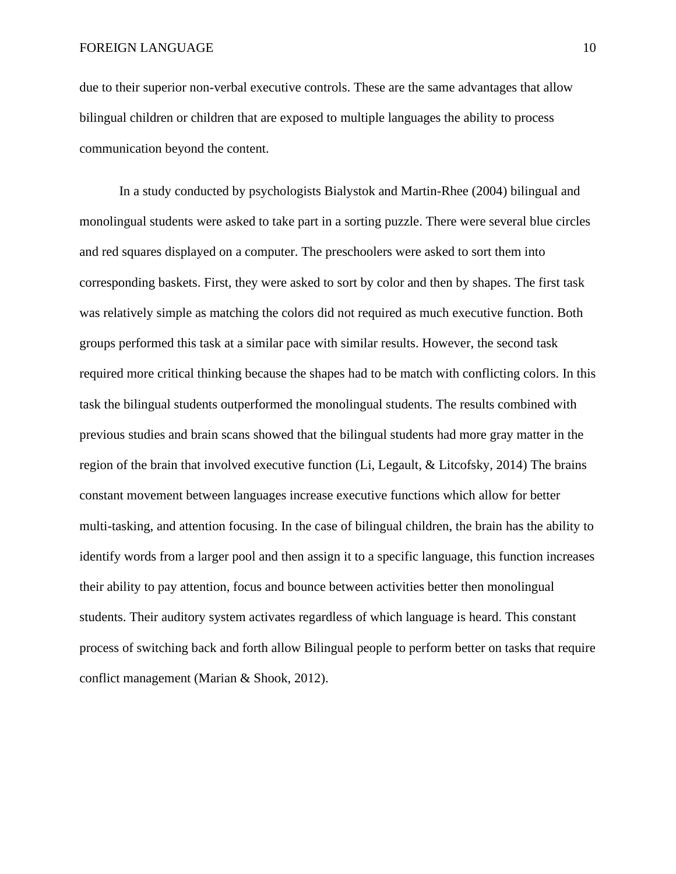due to their superior non-verbal executive controls. These are the same advantages that allow bilingual children or children that are exposed to multiple languages the ability to process communication beyond the content.

In a study conducted by psychologists Bialystok and Martin-Rhee (2004) bilingual and monolingual students were asked to take part in a sorting puzzle. There were several blue circles and red squares displayed on a computer. The preschoolers were asked to sort them into corresponding baskets. First, they were asked to sort by color and then by shapes. The first task was relatively simple as matching the colors did not required as much executive function. Both groups performed this task at a similar pace with similar results. However, the second task required more critical thinking because the shapes had to be match with conflicting colors. In this task the bilingual students outperformed the monolingual students. The results combined with previous studies and brain scans showed that the bilingual students had more gray matter in the region of the brain that involved executive function (Li, Legault, & Litcofsky, 2014) The brains constant movement between languages increase executive functions which allow for better multi-tasking, and attention focusing. In the case of bilingual children, the brain has the ability to identify words from a larger pool and then assign it to a specific language, this function increases their ability to pay attention, focus and bounce between activities better then monolingual students. Their auditory system activates regardless of which language is heard. This constant process of switching back and forth allow Bilingual people to perform better on tasks that require conflict management (Marian & Shook, 2012).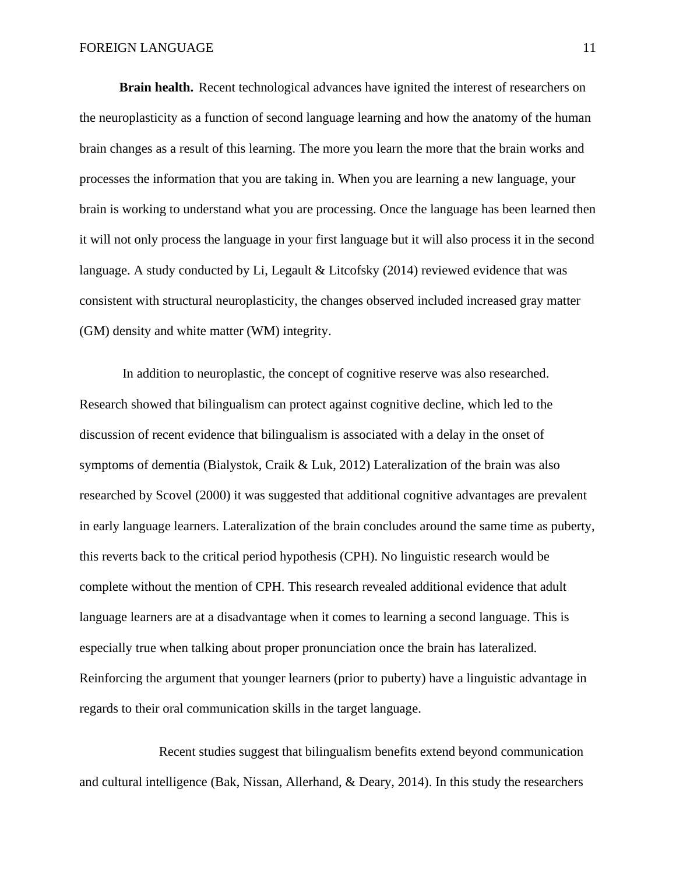**Brain health.** Recent technological advances have ignited the interest of researchers on the neuroplasticity as a function of second language learning and how the anatomy of the human brain changes as a result of this learning. The more you learn the more that the brain works and processes the information that you are taking in. When you are learning a new language, your brain is working to understand what you are processing. Once the language has been learned then it will not only process the language in your first language but it will also process it in the second language. A study conducted by Li, Legault & Litcofsky (2014) reviewed evidence that was consistent with structural neuroplasticity, the changes observed included increased gray matter (GM) density and white matter (WM) integrity.

In addition to neuroplastic, the concept of cognitive reserve was also researched. Research showed that bilingualism can protect against cognitive decline, which led to the discussion of recent evidence that bilingualism is associated with a delay in the onset of symptoms of dementia (Bialystok, Craik & Luk, 2012) Lateralization of the brain was also researched by Scovel (2000) it was suggested that additional cognitive advantages are prevalent in early language learners. Lateralization of the brain concludes around the same time as puberty, this reverts back to the critical period hypothesis (CPH). No linguistic research would be complete without the mention of CPH. This research revealed additional evidence that adult language learners are at a disadvantage when it comes to learning a second language. This is especially true when talking about proper pronunciation once the brain has lateralized. Reinforcing the argument that younger learners (prior to puberty) have a linguistic advantage in regards to their oral communication skills in the target language.

Recent studies suggest that bilingualism benefits extend beyond communication and cultural intelligence (Bak, Nissan, Allerhand, & Deary, 2014). In this study the researchers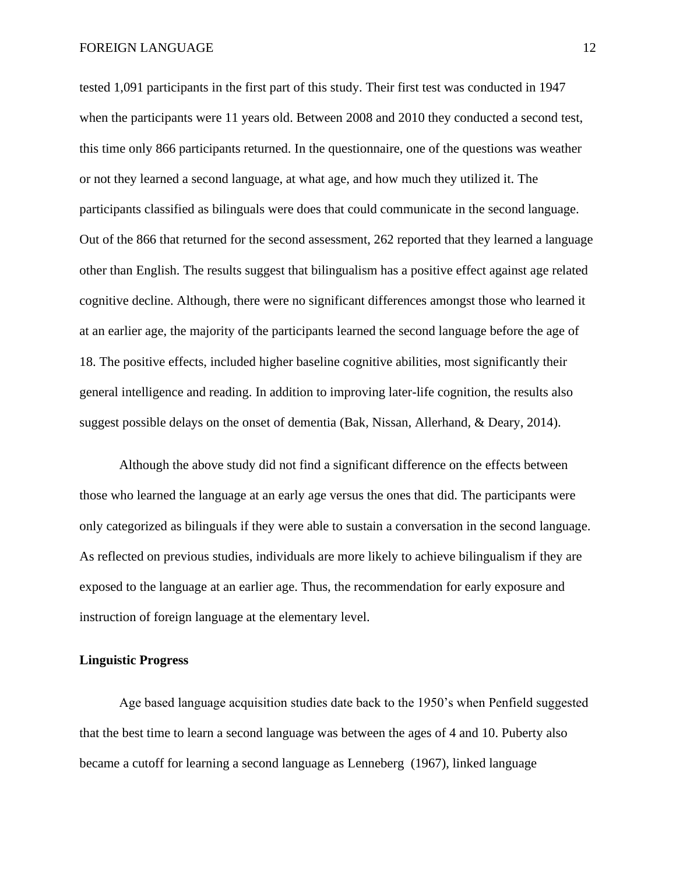tested 1,091 participants in the first part of this study. Their first test was conducted in 1947 when the participants were 11 years old. Between 2008 and 2010 they conducted a second test, this time only 866 participants returned. In the questionnaire, one of the questions was weather or not they learned a second language, at what age, and how much they utilized it. The participants classified as bilinguals were does that could communicate in the second language. Out of the 866 that returned for the second assessment, 262 reported that they learned a language other than English. The results suggest that bilingualism has a positive effect against age related cognitive decline. Although, there were no significant differences amongst those who learned it at an earlier age, the majority of the participants learned the second language before the age of 18. The positive effects, included higher baseline cognitive abilities, most significantly their general intelligence and reading. In addition to improving later-life cognition, the results also suggest possible delays on the onset of dementia (Bak, Nissan, Allerhand, & Deary, 2014).

Although the above study did not find a significant difference on the effects between those who learned the language at an early age versus the ones that did. The participants were only categorized as bilinguals if they were able to sustain a conversation in the second language. As reflected on previous studies, individuals are more likely to achieve bilingualism if they are exposed to the language at an earlier age. Thus, the recommendation for early exposure and instruction of foreign language at the elementary level.

#### **Linguistic Progress**

Age based language acquisition studies date back to the 1950's when Penfield suggested that the best time to learn a second language was between the ages of 4 and 10. Puberty also became a cutoff for learning a second language as Lenneberg (1967), linked language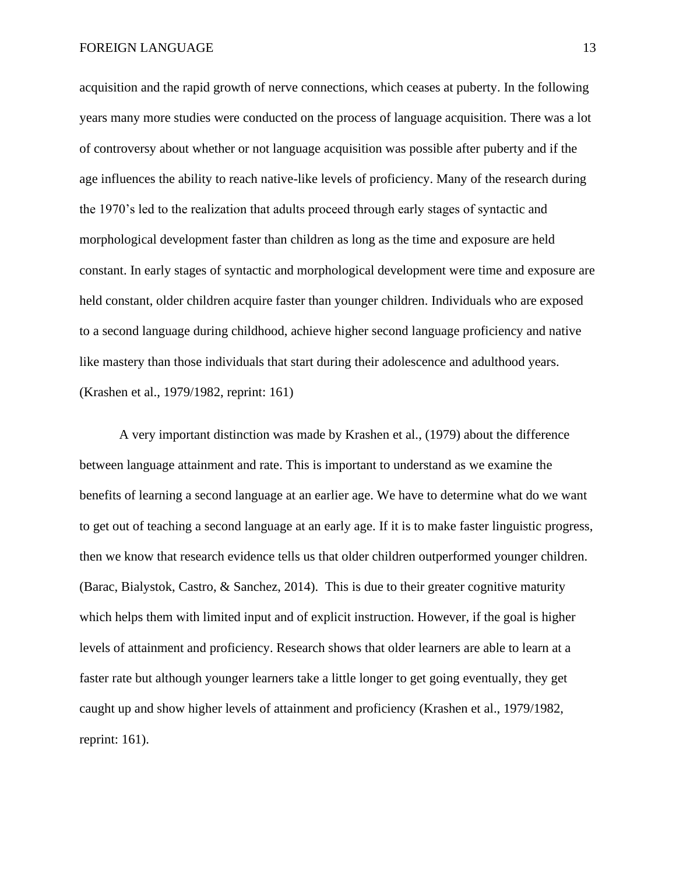acquisition and the rapid growth of nerve connections, which ceases at puberty. In the following years many more studies were conducted on the process of language acquisition. There was a lot of controversy about whether or not language acquisition was possible after puberty and if the age influences the ability to reach native-like levels of proficiency. Many of the research during the 1970's led to the realization that adults proceed through early stages of syntactic and morphological development faster than children as long as the time and exposure are held constant. In early stages of syntactic and morphological development were time and exposure are held constant, older children acquire faster than younger children. Individuals who are exposed to a second language during childhood, achieve higher second language proficiency and native like mastery than those individuals that start during their adolescence and adulthood years. (Krashen et al., 1979/1982, reprint: 161)

A very important distinction was made by Krashen et al., (1979) about the difference between language attainment and rate. This is important to understand as we examine the benefits of learning a second language at an earlier age. We have to determine what do we want to get out of teaching a second language at an early age. If it is to make faster linguistic progress, then we know that research evidence tells us that older children outperformed younger children. (Barac, Bialystok, Castro, & Sanchez, 2014). This is due to their greater cognitive maturity which helps them with limited input and of explicit instruction. However, if the goal is higher levels of attainment and proficiency. Research shows that older learners are able to learn at a faster rate but although younger learners take a little longer to get going eventually, they get caught up and show higher levels of attainment and proficiency (Krashen et al., 1979/1982, reprint: 161).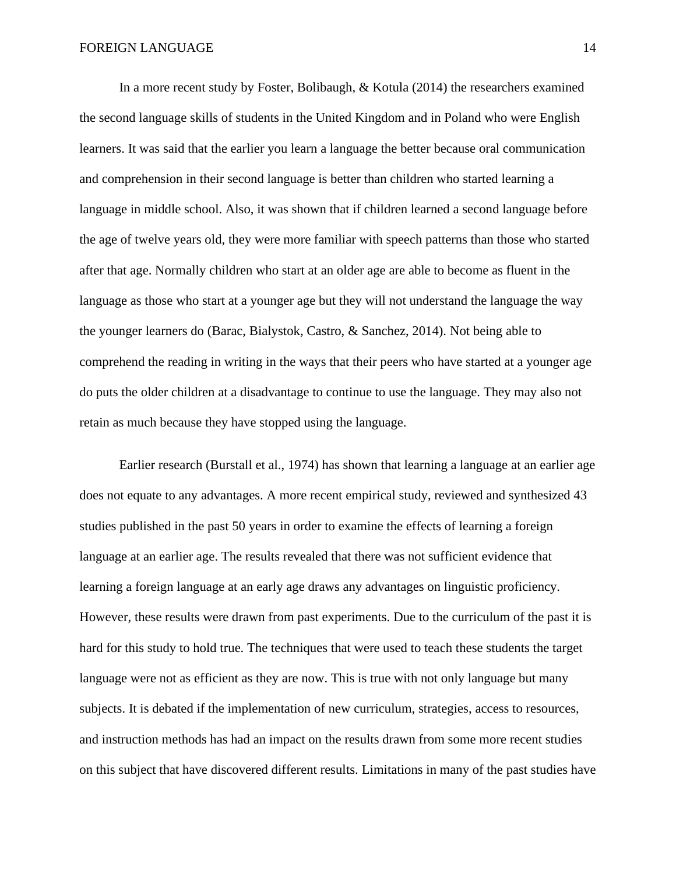In a more recent study by Foster, Bolibaugh, & Kotula (2014) the researchers examined the second language skills of students in the United Kingdom and in Poland who were English learners. It was said that the earlier you learn a language the better because oral communication and comprehension in their second language is better than children who started learning a language in middle school. Also, it was shown that if children learned a second language before the age of twelve years old, they were more familiar with speech patterns than those who started after that age. Normally children who start at an older age are able to become as fluent in the language as those who start at a younger age but they will not understand the language the way the younger learners do (Barac, Bialystok, Castro, & Sanchez, 2014). Not being able to comprehend the reading in writing in the ways that their peers who have started at a younger age do puts the older children at a disadvantage to continue to use the language. They may also not retain as much because they have stopped using the language.

Earlier research (Burstall et al., 1974) has shown that learning a language at an earlier age does not equate to any advantages. A more recent empirical study, reviewed and synthesized 43 studies published in the past 50 years in order to examine the effects of learning a foreign language at an earlier age. The results revealed that there was not sufficient evidence that learning a foreign language at an early age draws any advantages on linguistic proficiency. However, these results were drawn from past experiments. Due to the curriculum of the past it is hard for this study to hold true. The techniques that were used to teach these students the target language were not as efficient as they are now. This is true with not only language but many subjects. It is debated if the implementation of new curriculum, strategies, access to resources, and instruction methods has had an impact on the results drawn from some more recent studies on this subject that have discovered different results. Limitations in many of the past studies have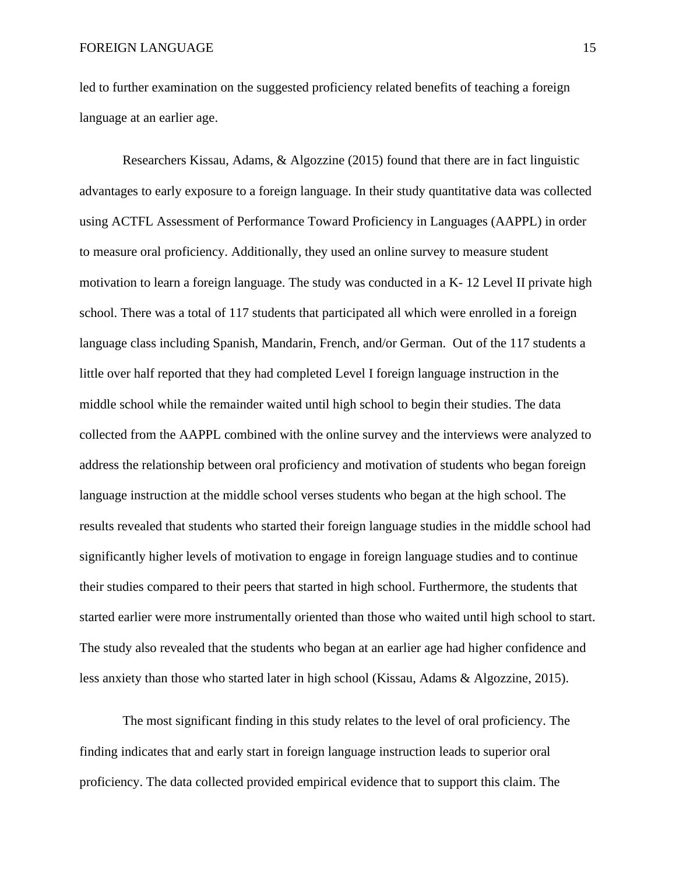led to further examination on the suggested proficiency related benefits of teaching a foreign language at an earlier age.

Researchers Kissau, Adams, & Algozzine (2015) found that there are in fact linguistic advantages to early exposure to a foreign language. In their study quantitative data was collected using ACTFL Assessment of Performance Toward Proficiency in Languages (AAPPL) in order to measure oral proficiency. Additionally, they used an online survey to measure student motivation to learn a foreign language. The study was conducted in a K- 12 Level II private high school. There was a total of 117 students that participated all which were enrolled in a foreign language class including Spanish, Mandarin, French, and/or German. Out of the 117 students a little over half reported that they had completed Level I foreign language instruction in the middle school while the remainder waited until high school to begin their studies. The data collected from the AAPPL combined with the online survey and the interviews were analyzed to address the relationship between oral proficiency and motivation of students who began foreign language instruction at the middle school verses students who began at the high school. The results revealed that students who started their foreign language studies in the middle school had significantly higher levels of motivation to engage in foreign language studies and to continue their studies compared to their peers that started in high school. Furthermore, the students that started earlier were more instrumentally oriented than those who waited until high school to start. The study also revealed that the students who began at an earlier age had higher confidence and less anxiety than those who started later in high school (Kissau, Adams & Algozzine, 2015).

The most significant finding in this study relates to the level of oral proficiency. The finding indicates that and early start in foreign language instruction leads to superior oral proficiency. The data collected provided empirical evidence that to support this claim. The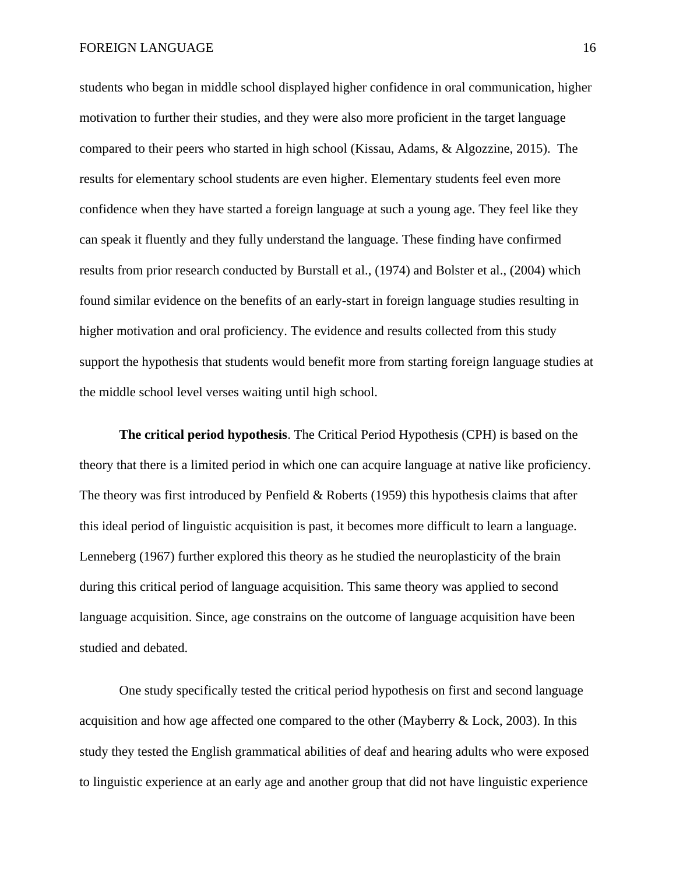students who began in middle school displayed higher confidence in oral communication, higher motivation to further their studies, and they were also more proficient in the target language compared to their peers who started in high school (Kissau, Adams, & Algozzine, 2015). The results for elementary school students are even higher. Elementary students feel even more confidence when they have started a foreign language at such a young age. They feel like they can speak it fluently and they fully understand the language. These finding have confirmed results from prior research conducted by Burstall et al., (1974) and Bolster et al., (2004) which found similar evidence on the benefits of an early-start in foreign language studies resulting in higher motivation and oral proficiency. The evidence and results collected from this study support the hypothesis that students would benefit more from starting foreign language studies at the middle school level verses waiting until high school.

**The critical period hypothesis**. The Critical Period Hypothesis (CPH) is based on the theory that there is a limited period in which one can acquire language at native like proficiency. The theory was first introduced by Penfield  $& \text{Roberts}$  (1959) this hypothesis claims that after this ideal period of linguistic acquisition is past, it becomes more difficult to learn a language. Lenneberg (1967) further explored this theory as he studied the neuroplasticity of the brain during this critical period of language acquisition. This same theory was applied to second language acquisition. Since, age constrains on the outcome of language acquisition have been studied and debated.

One study specifically tested the critical period hypothesis on first and second language acquisition and how age affected one compared to the other (Mayberry & Lock, 2003). In this study they tested the English grammatical abilities of deaf and hearing adults who were exposed to linguistic experience at an early age and another group that did not have linguistic experience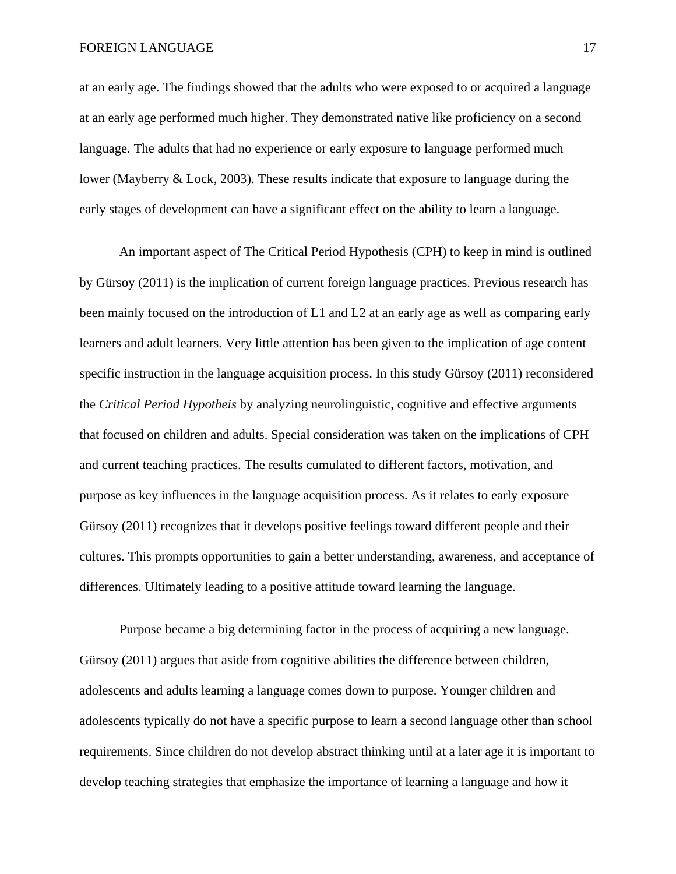at an early age. The findings showed that the adults who were exposed to or acquired a language at an early age performed much higher. They demonstrated native like proficiency on a second language. The adults that had no experience or early exposure to language performed much lower (Mayberry & Lock, 2003). These results indicate that exposure to language during the early stages of development can have a significant effect on the ability to learn a language.

An important aspect of The Critical Period Hypothesis (CPH) to keep in mind is outlined by Gürsoy (2011) is the implication of current foreign language practices. Previous research has been mainly focused on the introduction of L1 and L2 at an early age as well as comparing early learners and adult learners. Very little attention has been given to the implication of age content specific instruction in the language acquisition process. In this study Gürsoy (2011) reconsidered the *Critical Period Hypotheis* by analyzing neurolinguistic, cognitive and effective arguments that focused on children and adults. Special consideration was taken on the implications of CPH and current teaching practices. The results cumulated to different factors, motivation, and purpose as key influences in the language acquisition process. As it relates to early exposure Gürsoy (2011) recognizes that it develops positive feelings toward different people and their cultures. This prompts opportunities to gain a better understanding, awareness, and acceptance of differences. Ultimately leading to a positive attitude toward learning the language.

Purpose became a big determining factor in the process of acquiring a new language. Gürsoy (2011) argues that aside from cognitive abilities the difference between children, adolescents and adults learning a language comes down to purpose. Younger children and adolescents typically do not have a specific purpose to learn a second language other than school requirements. Since children do not develop abstract thinking until at a later age it is important to develop teaching strategies that emphasize the importance of learning a language and how it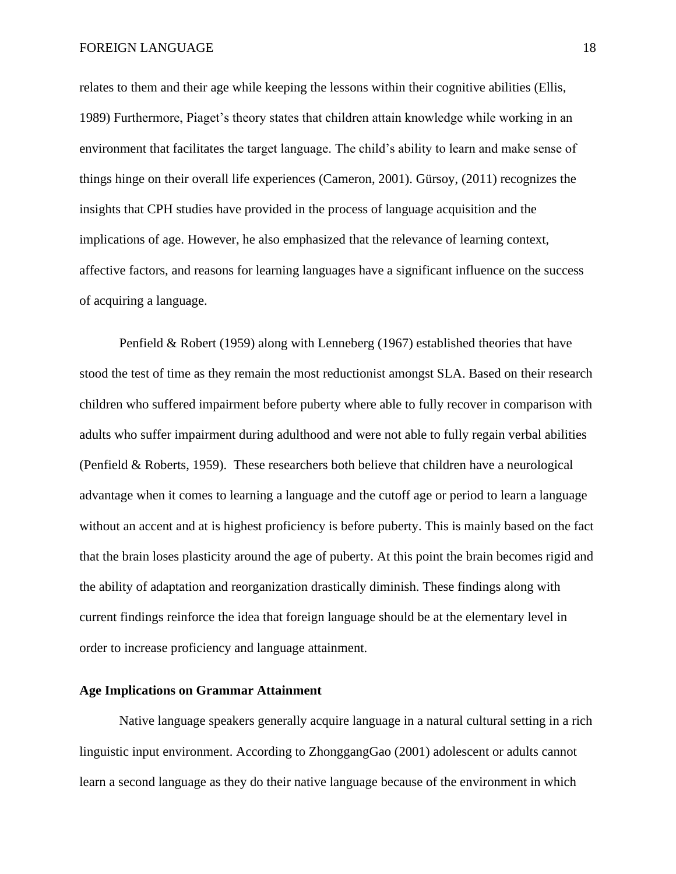relates to them and their age while keeping the lessons within their cognitive abilities (Ellis, 1989) Furthermore, Piaget's theory states that children attain knowledge while working in an environment that facilitates the target language. The child's ability to learn and make sense of things hinge on their overall life experiences (Cameron, 2001). Gürsoy, (2011) recognizes the insights that CPH studies have provided in the process of language acquisition and the implications of age. However, he also emphasized that the relevance of learning context, affective factors, and reasons for learning languages have a significant influence on the success of acquiring a language.

Penfield & Robert (1959) along with Lenneberg (1967) established theories that have stood the test of time as they remain the most reductionist amongst SLA. Based on their research children who suffered impairment before puberty where able to fully recover in comparison with adults who suffer impairment during adulthood and were not able to fully regain verbal abilities (Penfield & Roberts, 1959). These researchers both believe that children have a neurological advantage when it comes to learning a language and the cutoff age or period to learn a language without an accent and at is highest proficiency is before puberty. This is mainly based on the fact that the brain loses plasticity around the age of puberty. At this point the brain becomes rigid and the ability of adaptation and reorganization drastically diminish. These findings along with current findings reinforce the idea that foreign language should be at the elementary level in order to increase proficiency and language attainment.

#### **Age Implications on Grammar Attainment**

Native language speakers generally acquire language in a natural cultural setting in a rich linguistic input environment. According to ZhonggangGao (2001) adolescent or adults cannot learn a second language as they do their native language because of the environment in which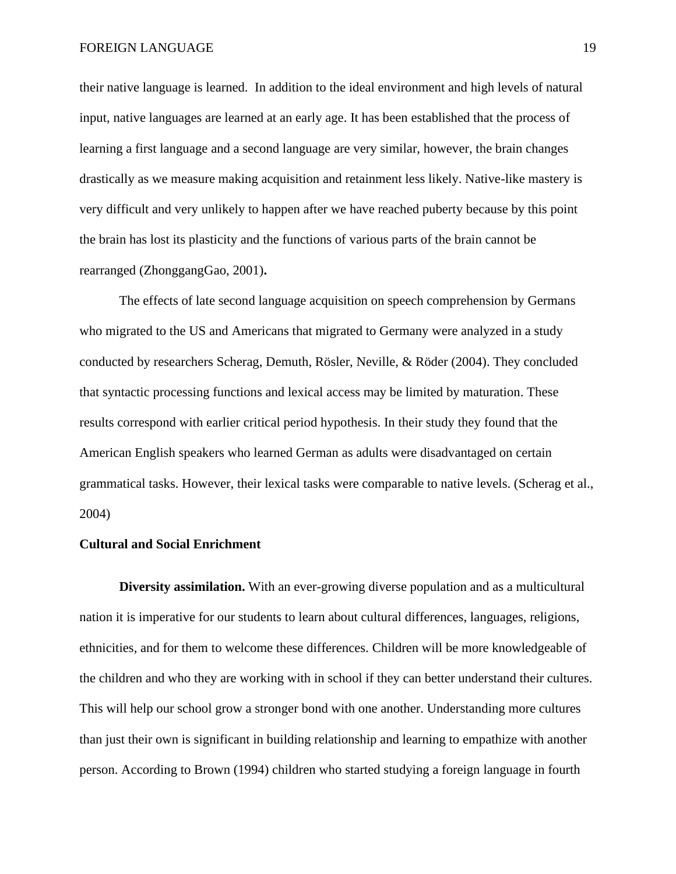their native language is learned. In addition to the ideal environment and high levels of natural input, native languages are learned at an early age. It has been established that the process of learning a first language and a second language are very similar, however, the brain changes drastically as we measure making acquisition and retainment less likely. Native-like mastery is very difficult and very unlikely to happen after we have reached puberty because by this point the brain has lost its plasticity and the functions of various parts of the brain cannot be rearranged (ZhonggangGao, 2001)**.** 

The effects of late second language acquisition on speech comprehension by Germans who migrated to the US and Americans that migrated to Germany were analyzed in a study conducted by researchers Scherag, Demuth, Rösler, Neville, & Röder (2004). They concluded that syntactic processing functions and lexical access may be limited by maturation. These results correspond with earlier critical period hypothesis. In their study they found that the American English speakers who learned German as adults were disadvantaged on certain grammatical tasks. However, their lexical tasks were comparable to native levels. (Scherag et al., 2004)

#### **Cultural and Social Enrichment**

**Diversity assimilation.** With an ever-growing diverse population and as a multicultural nation it is imperative for our students to learn about cultural differences, languages, religions, ethnicities, and for them to welcome these differences. Children will be more knowledgeable of the children and who they are working with in school if they can better understand their cultures. This will help our school grow a stronger bond with one another. Understanding more cultures than just their own is significant in building relationship and learning to empathize with another person. According to Brown (1994) children who started studying a foreign language in fourth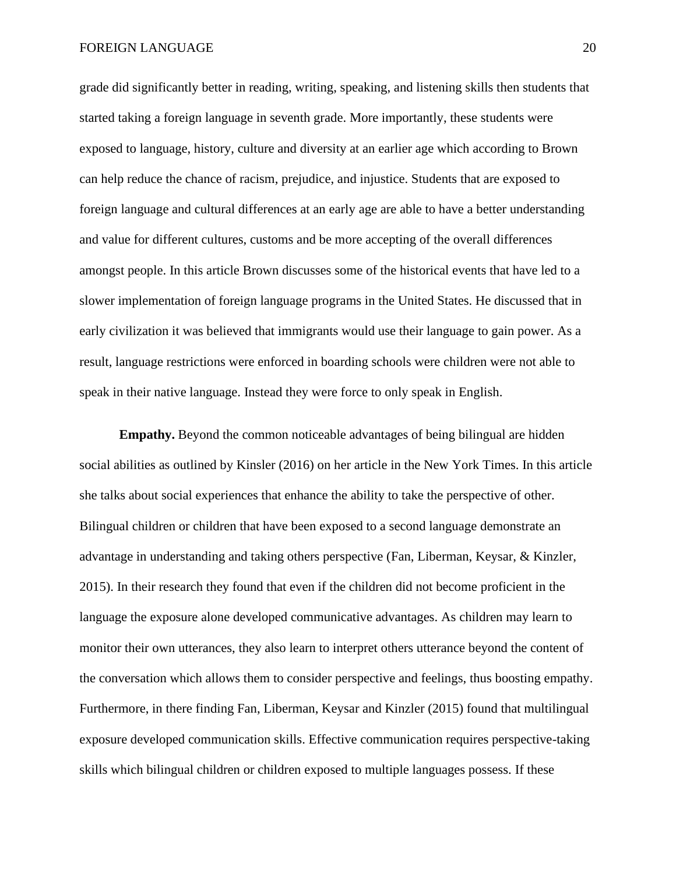grade did significantly better in reading, writing, speaking, and listening skills then students that started taking a foreign language in seventh grade. More importantly, these students were exposed to language, history, culture and diversity at an earlier age which according to Brown can help reduce the chance of racism, prejudice, and injustice. Students that are exposed to foreign language and cultural differences at an early age are able to have a better understanding and value for different cultures, customs and be more accepting of the overall differences amongst people. In this article Brown discusses some of the historical events that have led to a slower implementation of foreign language programs in the United States. He discussed that in early civilization it was believed that immigrants would use their language to gain power. As a result, language restrictions were enforced in boarding schools were children were not able to speak in their native language. Instead they were force to only speak in English.

**Empathy.** Beyond the common noticeable advantages of being bilingual are hidden social abilities as outlined by Kinsler (2016) on her article in the New York Times. In this article she talks about social experiences that enhance the ability to take the perspective of other. Bilingual children or children that have been exposed to a second language demonstrate an advantage in understanding and taking others perspective (Fan, Liberman, Keysar, & Kinzler, 2015). In their research they found that even if the children did not become proficient in the language the exposure alone developed communicative advantages. As children may learn to monitor their own utterances, they also learn to interpret others utterance beyond the content of the conversation which allows them to consider perspective and feelings, thus boosting empathy. Furthermore, in there finding Fan, Liberman, Keysar and Kinzler (2015) found that multilingual exposure developed communication skills. Effective communication requires perspective-taking skills which bilingual children or children exposed to multiple languages possess. If these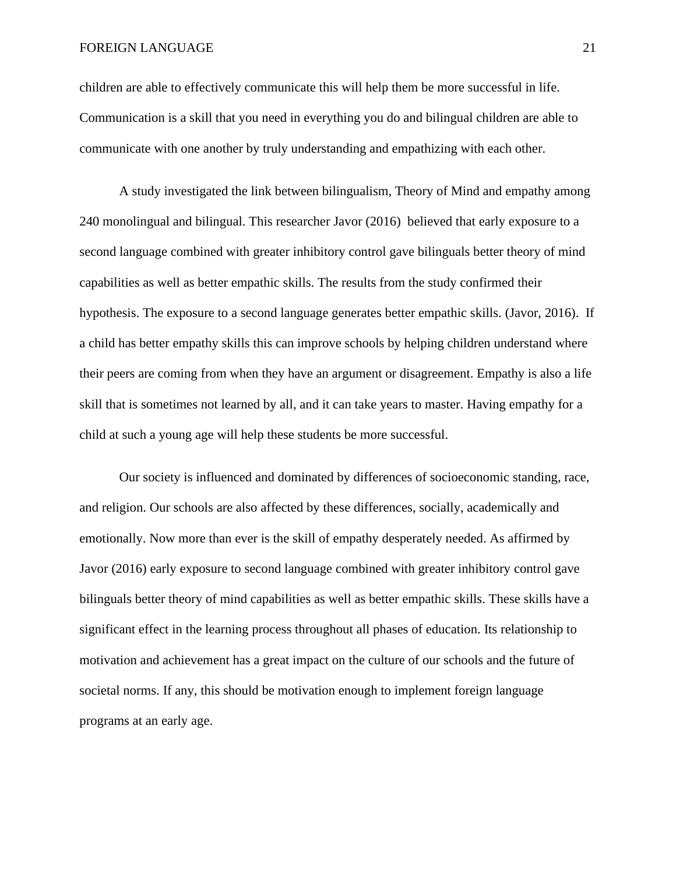children are able to effectively communicate this will help them be more successful in life. Communication is a skill that you need in everything you do and bilingual children are able to communicate with one another by truly understanding and empathizing with each other.

A study investigated the link between bilingualism, Theory of Mind and empathy among 240 monolingual and bilingual. This researcher Javor (2016) believed that early exposure to a second language combined with greater inhibitory control gave bilinguals better theory of mind capabilities as well as better empathic skills. The results from the study confirmed their hypothesis. The exposure to a second language generates better empathic skills. (Javor, 2016). If a child has better empathy skills this can improve schools by helping children understand where their peers are coming from when they have an argument or disagreement. Empathy is also a life skill that is sometimes not learned by all, and it can take years to master. Having empathy for a child at such a young age will help these students be more successful.

Our society is influenced and dominated by differences of socioeconomic standing, race, and religion. Our schools are also affected by these differences, socially, academically and emotionally. Now more than ever is the skill of empathy desperately needed. As affirmed by Javor (2016) early exposure to second language combined with greater inhibitory control gave bilinguals better theory of mind capabilities as well as better empathic skills. These skills have a significant effect in the learning process throughout all phases of education. Its relationship to motivation and achievement has a great impact on the culture of our schools and the future of societal norms. If any, this should be motivation enough to implement foreign language programs at an early age.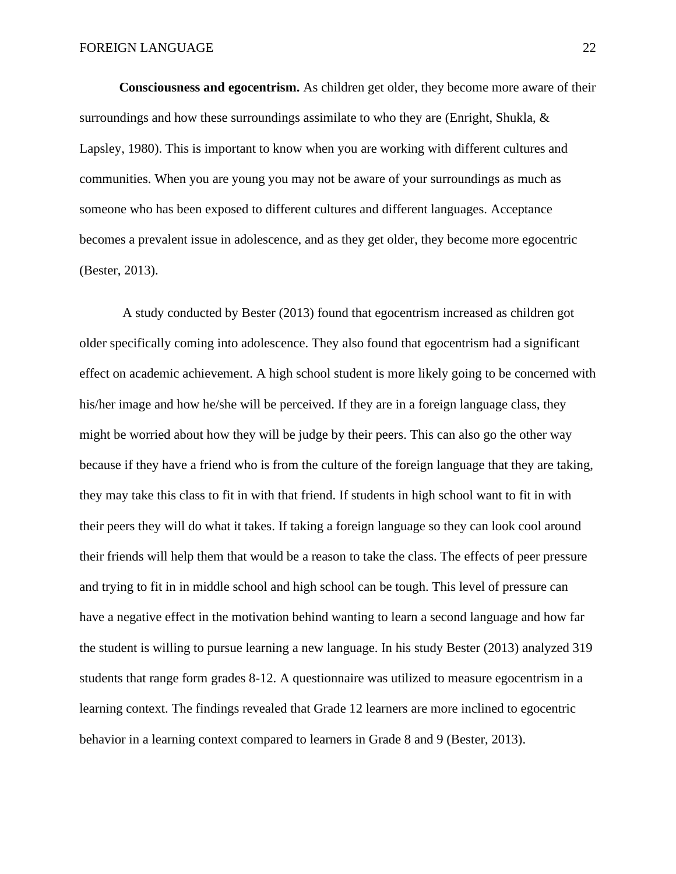**Consciousness and egocentrism.** As children get older, they become more aware of their surroundings and how these surroundings assimilate to who they are (Enright, Shukla, & Lapsley, 1980). This is important to know when you are working with different cultures and communities. When you are young you may not be aware of your surroundings as much as someone who has been exposed to different cultures and different languages. Acceptance becomes a prevalent issue in adolescence, and as they get older, they become more egocentric (Bester, 2013).

A study conducted by Bester (2013) found that egocentrism increased as children got older specifically coming into adolescence. They also found that egocentrism had a significant effect on academic achievement. A high school student is more likely going to be concerned with his/her image and how he/she will be perceived. If they are in a foreign language class, they might be worried about how they will be judge by their peers. This can also go the other way because if they have a friend who is from the culture of the foreign language that they are taking, they may take this class to fit in with that friend. If students in high school want to fit in with their peers they will do what it takes. If taking a foreign language so they can look cool around their friends will help them that would be a reason to take the class. The effects of peer pressure and trying to fit in in middle school and high school can be tough. This level of pressure can have a negative effect in the motivation behind wanting to learn a second language and how far the student is willing to pursue learning a new language. In his study Bester (2013) analyzed 319 students that range form grades 8-12. A questionnaire was utilized to measure egocentrism in a learning context. The findings revealed that Grade 12 learners are more inclined to egocentric behavior in a learning context compared to learners in Grade 8 and 9 (Bester, 2013).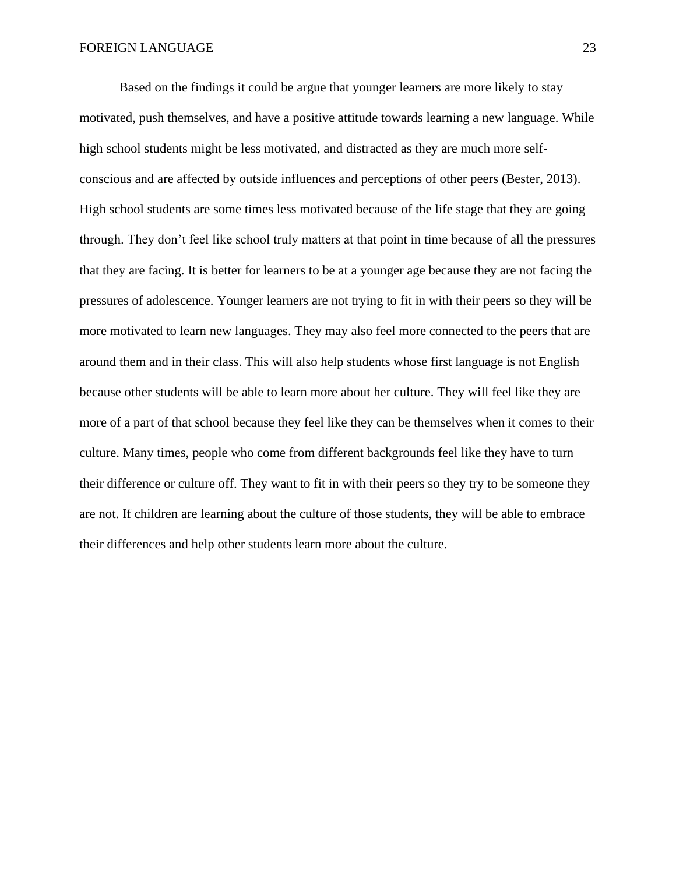Based on the findings it could be argue that younger learners are more likely to stay motivated, push themselves, and have a positive attitude towards learning a new language. While high school students might be less motivated, and distracted as they are much more selfconscious and are affected by outside influences and perceptions of other peers (Bester, 2013). High school students are some times less motivated because of the life stage that they are going through. They don't feel like school truly matters at that point in time because of all the pressures that they are facing. It is better for learners to be at a younger age because they are not facing the pressures of adolescence. Younger learners are not trying to fit in with their peers so they will be more motivated to learn new languages. They may also feel more connected to the peers that are around them and in their class. This will also help students whose first language is not English because other students will be able to learn more about her culture. They will feel like they are more of a part of that school because they feel like they can be themselves when it comes to their culture. Many times, people who come from different backgrounds feel like they have to turn their difference or culture off. They want to fit in with their peers so they try to be someone they are not. If children are learning about the culture of those students, they will be able to embrace their differences and help other students learn more about the culture.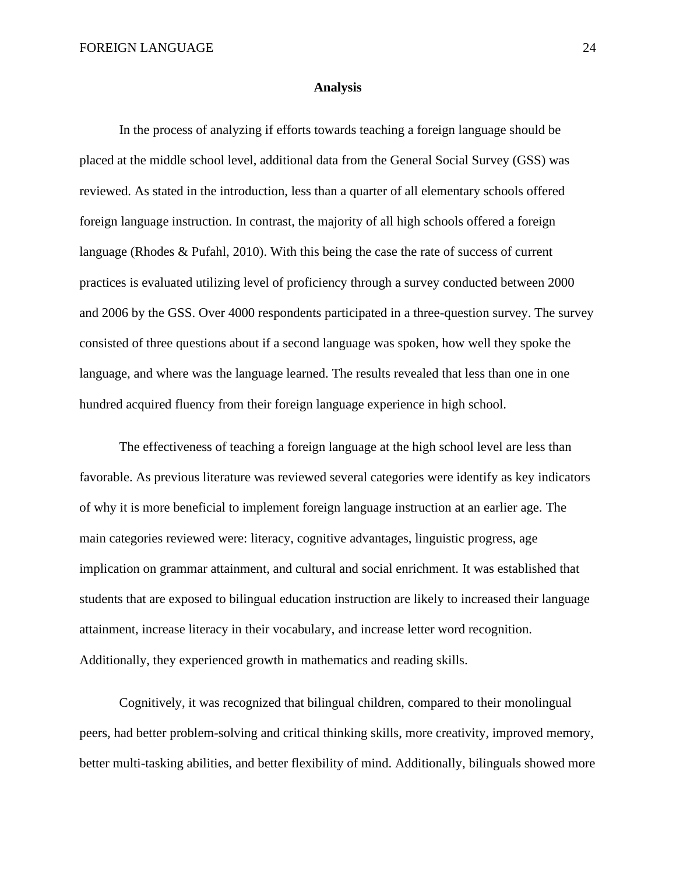#### **Analysis**

In the process of analyzing if efforts towards teaching a foreign language should be placed at the middle school level, additional data from the General Social Survey (GSS) was reviewed. As stated in the introduction, less than a quarter of all elementary schools offered foreign language instruction. In contrast, the majority of all high schools offered a foreign language (Rhodes & Pufahl, 2010). With this being the case the rate of success of current practices is evaluated utilizing level of proficiency through a survey conducted between 2000 and 2006 by the GSS. Over 4000 respondents participated in a three-question survey. The survey consisted of three questions about if a second language was spoken, how well they spoke the language, and where was the language learned. The results revealed that less than one in one hundred acquired fluency from their foreign language experience in high school.

The effectiveness of teaching a foreign language at the high school level are less than favorable. As previous literature was reviewed several categories were identify as key indicators of why it is more beneficial to implement foreign language instruction at an earlier age. The main categories reviewed were: literacy, cognitive advantages, linguistic progress, age implication on grammar attainment, and cultural and social enrichment. It was established that students that are exposed to bilingual education instruction are likely to increased their language attainment, increase literacy in their vocabulary, and increase letter word recognition. Additionally, they experienced growth in mathematics and reading skills.

Cognitively, it was recognized that bilingual children, compared to their monolingual peers, had better problem-solving and critical thinking skills, more creativity, improved memory, better multi-tasking abilities, and better flexibility of mind. Additionally, bilinguals showed more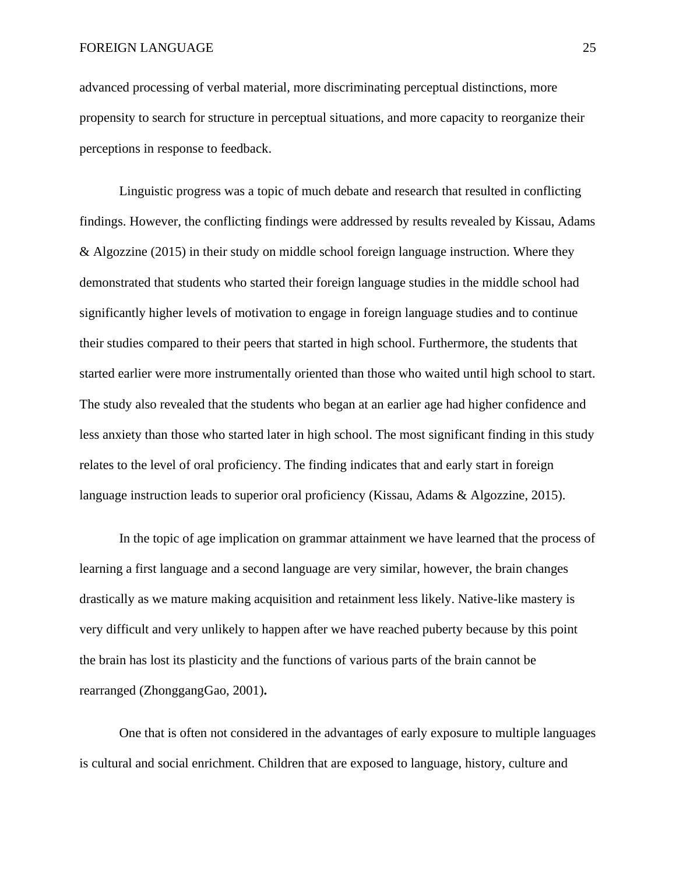advanced processing of verbal material, more discriminating perceptual distinctions, more propensity to search for structure in perceptual situations, and more capacity to reorganize their perceptions in response to feedback.

Linguistic progress was a topic of much debate and research that resulted in conflicting findings. However, the conflicting findings were addressed by results revealed by Kissau, Adams & Algozzine (2015) in their study on middle school foreign language instruction. Where they demonstrated that students who started their foreign language studies in the middle school had significantly higher levels of motivation to engage in foreign language studies and to continue their studies compared to their peers that started in high school. Furthermore, the students that started earlier were more instrumentally oriented than those who waited until high school to start. The study also revealed that the students who began at an earlier age had higher confidence and less anxiety than those who started later in high school. The most significant finding in this study relates to the level of oral proficiency. The finding indicates that and early start in foreign language instruction leads to superior oral proficiency (Kissau, Adams & Algozzine, 2015).

In the topic of age implication on grammar attainment we have learned that the process of learning a first language and a second language are very similar, however, the brain changes drastically as we mature making acquisition and retainment less likely. Native-like mastery is very difficult and very unlikely to happen after we have reached puberty because by this point the brain has lost its plasticity and the functions of various parts of the brain cannot be rearranged (ZhonggangGao, 2001)**.** 

One that is often not considered in the advantages of early exposure to multiple languages is cultural and social enrichment. Children that are exposed to language, history, culture and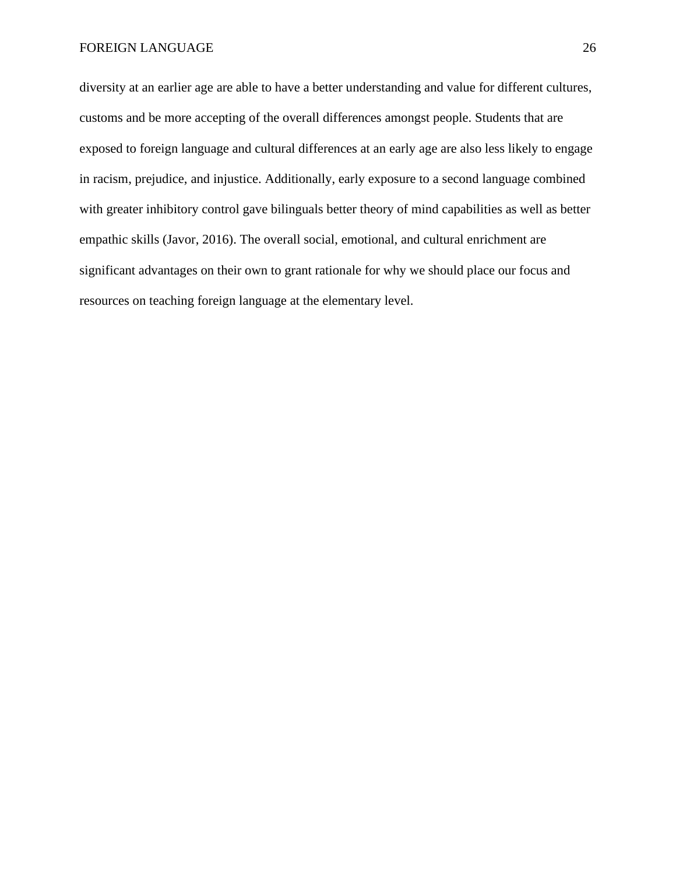diversity at an earlier age are able to have a better understanding and value for different cultures, customs and be more accepting of the overall differences amongst people. Students that are exposed to foreign language and cultural differences at an early age are also less likely to engage in racism, prejudice, and injustice. Additionally, early exposure to a second language combined with greater inhibitory control gave bilinguals better theory of mind capabilities as well as better empathic skills (Javor, 2016). The overall social, emotional, and cultural enrichment are significant advantages on their own to grant rationale for why we should place our focus and resources on teaching foreign language at the elementary level.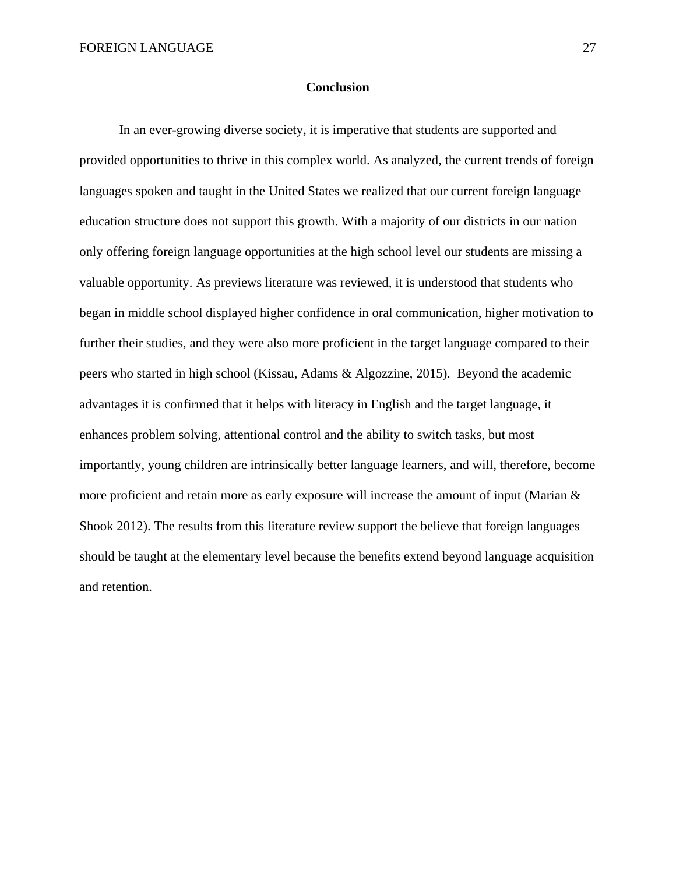#### **Conclusion**

In an ever-growing diverse society, it is imperative that students are supported and provided opportunities to thrive in this complex world. As analyzed, the current trends of foreign languages spoken and taught in the United States we realized that our current foreign language education structure does not support this growth. With a majority of our districts in our nation only offering foreign language opportunities at the high school level our students are missing a valuable opportunity. As previews literature was reviewed, it is understood that students who began in middle school displayed higher confidence in oral communication, higher motivation to further their studies, and they were also more proficient in the target language compared to their peers who started in high school (Kissau, Adams & Algozzine, 2015). Beyond the academic advantages it is confirmed that it helps with literacy in English and the target language, it enhances problem solving, attentional control and the ability to switch tasks, but most importantly, young children are intrinsically better language learners, and will, therefore, become more proficient and retain more as early exposure will increase the amount of input (Marian & Shook 2012). The results from this literature review support the believe that foreign languages should be taught at the elementary level because the benefits extend beyond language acquisition and retention.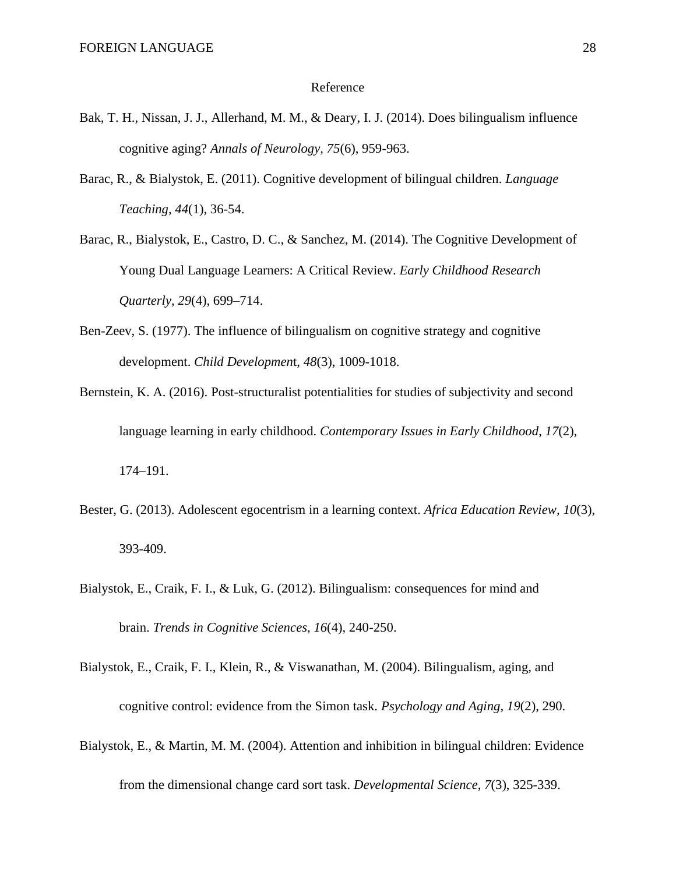#### Reference

- Bak, T. H., Nissan, J. J., Allerhand, M. M., & Deary, I. J. (2014). Does bilingualism influence cognitive aging? *Annals of Neurology, 75*(6), 959-963.
- Barac, R., & Bialystok, E. (2011). Cognitive development of bilingual children. *Language Teaching, 44*(1), 36-54.
- Barac, R., Bialystok, E., Castro, D. C., & Sanchez, M. (2014). The Cognitive Development of Young Dual Language Learners: A Critical Review. *Early Childhood Research Quarterly*, *29*(4), 699–714.
- Ben-Zeev, S. (1977). The influence of bilingualism on cognitive strategy and cognitive development. *Child Developmen*t, *48*(3), 1009-1018.
- Bernstein, K. A. (2016). Post-structuralist potentialities for studies of subjectivity and second language learning in early childhood. *Contemporary Issues in Early Childhood*, *17*(2), 174–191.
- Bester, G. (2013). Adolescent egocentrism in a learning context. *Africa Education Review, 10*(3), 393-409.
- Bialystok, E., Craik, F. I., & Luk, G. (2012). Bilingualism: consequences for mind and brain. *Trends in Cognitive Sciences*, *16*(4), 240-250.
- Bialystok, E., Craik, F. I., Klein, R., & Viswanathan, M. (2004). Bilingualism, aging, and cognitive control: evidence from the Simon task. *Psychology and Aging*, *19*(2), 290.
- Bialystok, E., & Martin, M. M. (2004). Attention and inhibition in bilingual children: Evidence from the dimensional change card sort task. *Developmental Science*, *7*(3), 325-339.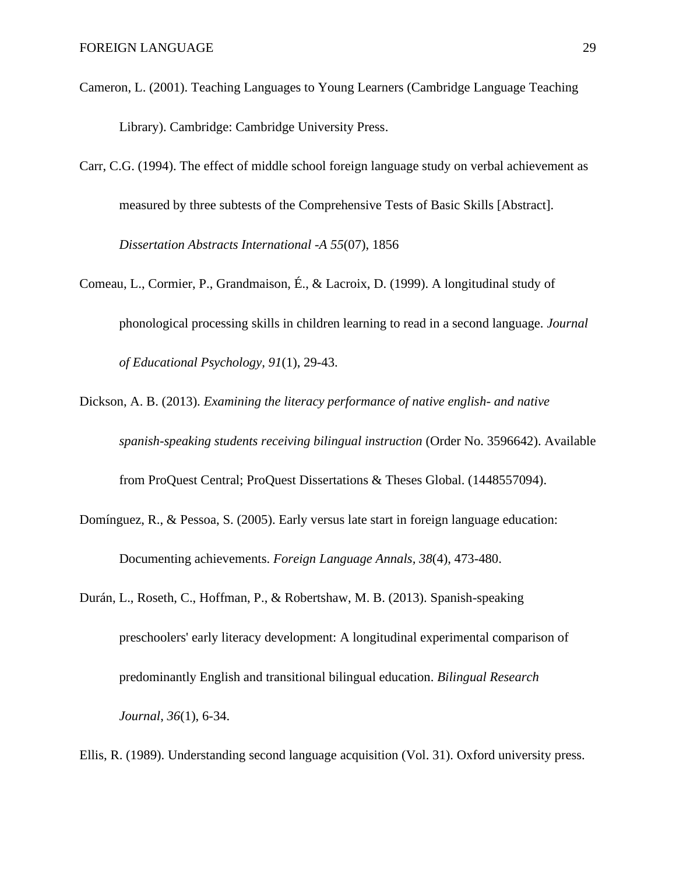- Cameron, L. (2001). Teaching Languages to Young Learners (Cambridge Language Teaching Library). Cambridge: Cambridge University Press.
- Carr, C.G. (1994). The effect of middle school foreign language study on verbal achievement as measured by three subtests of the Comprehensive Tests of Basic Skills [Abstract]. *Dissertation Abstracts International -A 55*(07), 1856
- Comeau, L., Cormier, P., Grandmaison, É., & Lacroix, D. (1999). A longitudinal study of phonological processing skills in children learning to read in a second language. *Journal of Educational Psychology, 91*(1), 29-43.
- Dickson, A. B. (2013). *Examining the literacy performance of native english- and native spanish-speaking students receiving bilingual instruction* (Order No. 3596642). Available from ProQuest Central; ProQuest Dissertations & Theses Global. (1448557094).
- Domínguez, R., & Pessoa, S. (2005). Early versus late start in foreign language education: Documenting achievements. *Foreign Language Annals, 38*(4), 473-480.
- Durán, L., Roseth, C., Hoffman, P., & Robertshaw, M. B. (2013). Spanish-speaking preschoolers' early literacy development: A longitudinal experimental comparison of predominantly English and transitional bilingual education. *Bilingual Research Journal*, *36*(1), 6-34.
- Ellis, R. (1989). Understanding second language acquisition (Vol. 31). Oxford university press.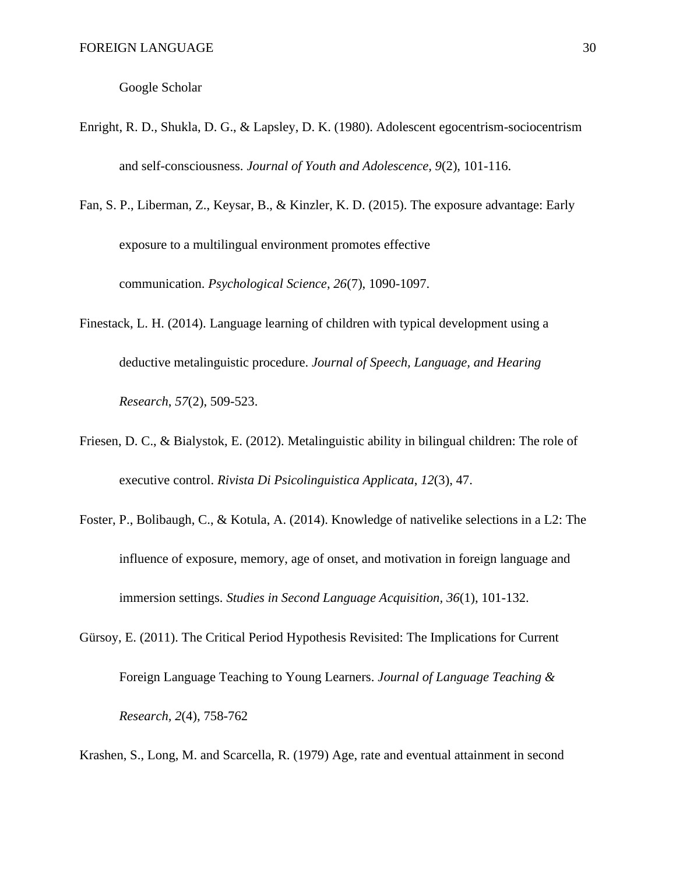Google Scholar

- Enright, R. D., Shukla, D. G., & Lapsley, D. K. (1980). Adolescent egocentrism-sociocentrism and self-consciousness. *Journal of Youth and Adolescence, 9*(2), 101-116.
- Fan, S. P., Liberman, Z., Keysar, B., & Kinzler, K. D. (2015). The exposure advantage: Early exposure to a multilingual environment promotes effective communication. *Psychological Science*, *26*(7), 1090-1097.
- Finestack, L. H. (2014). Language learning of children with typical development using a deductive metalinguistic procedure. *Journal of Speech, Language, and Hearing Research*, *57*(2), 509-523.
- Friesen, D. C., & Bialystok, E. (2012). Metalinguistic ability in bilingual children: The role of executive control. *Rivista Di Psicolinguistica Applicata*, *12*(3), 47.
- Foster, P., Bolibaugh, C., & Kotula, A. (2014). Knowledge of nativelike selections in a L2: The influence of exposure, memory, age of onset, and motivation in foreign language and immersion settings. *Studies in Second Language Acquisition, 36*(1), 101-132.
- Gürsoy, E. (2011). The Critical Period Hypothesis Revisited: The Implications for Current Foreign Language Teaching to Young Learners. *Journal of Language Teaching & Research, 2*(4), 758-762

Krashen, S., Long, M. and Scarcella, R. (1979) Age, rate and eventual attainment in second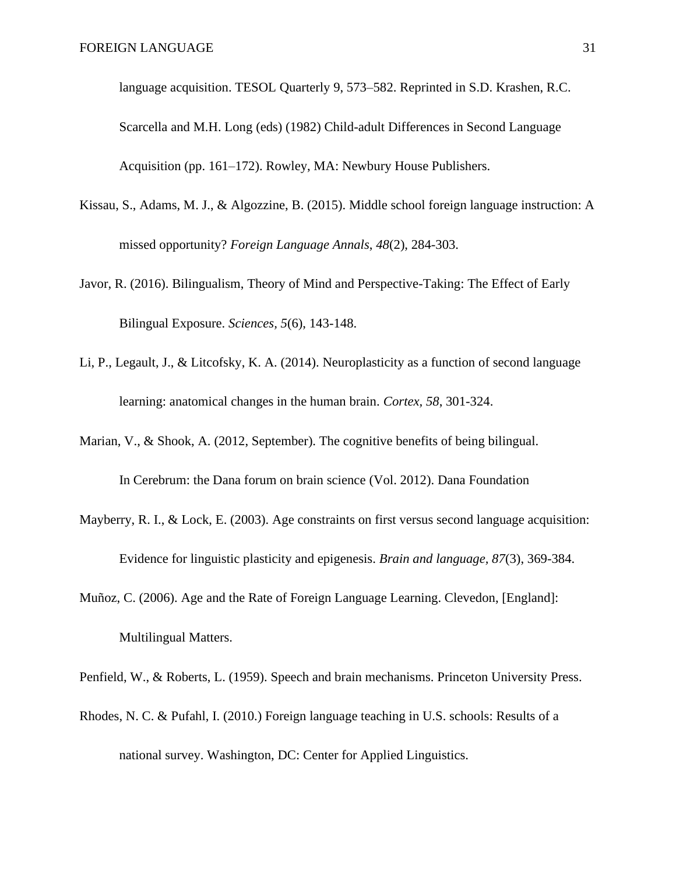language acquisition. TESOL Quarterly 9, 573–582. Reprinted in S.D. Krashen, R.C. Scarcella and M.H. Long (eds) (1982) Child-adult Differences in Second Language Acquisition (pp. 161–172). Rowley, MA: Newbury House Publishers.

- Kissau, S., Adams, M. J., & Algozzine, B. (2015). Middle school foreign language instruction: A missed opportunity? *Foreign Language Annals*, *48*(2), 284-303.
- Javor, R. (2016). Bilingualism, Theory of Mind and Perspective-Taking: The Effect of Early Bilingual Exposure. *Sciences, 5*(6), 143-148.
- Li, P., Legault, J., & Litcofsky, K. A. (2014). Neuroplasticity as a function of second language learning: anatomical changes in the human brain. *Cortex, 58*, 301-324.
- Marian, V., & Shook, A. (2012, September). The cognitive benefits of being bilingual.

In Cerebrum: the Dana forum on brain science (Vol. 2012). Dana Foundation

- Mayberry, R. I., & Lock, E. (2003). Age constraints on first versus second language acquisition: Evidence for linguistic plasticity and epigenesis. *Brain and language, 87*(3), 369-384.
- Muñoz, C. (2006). Age and the Rate of Foreign Language Learning. Clevedon, [England]: Multilingual Matters.
- Penfield, W., & Roberts, L. (1959). Speech and brain mechanisms. Princeton University Press.
- Rhodes, N. C. & Pufahl, I. (2010.) Foreign language teaching in U.S. schools: Results of a national survey. Washington, DC: Center for Applied Linguistics.